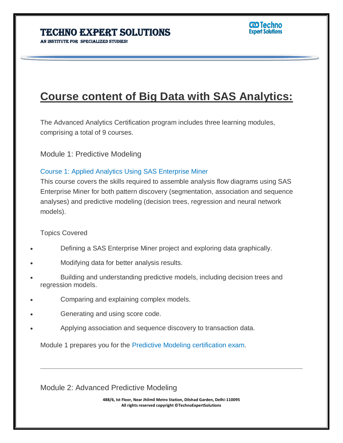## AN INSTITUTE FOR SPECIALIZED STUDIES!

# **Course content of Big Data with SAS Analytics:**

The Advanced Analytics Certification program includes three learning modules, comprising a total of 9 courses.

Module 1: Predictive Modeling

#### Course 1: Applied Analytics Using SAS Enterprise Miner

This course covers the skills required to assemble analysis flow diagrams using SAS Enterprise Miner for both pattern discovery (segmentation, association and sequence analyses) and predictive modeling (decision trees, regression and neural network models).

#### Topics Covered

- Defining a SAS Enterprise Miner project and exploring data graphically.
- Modifying data for better analysis results.
- Building and understanding predictive models, including decision trees and regression models.
- Comparing and explaining complex models.
- Generating and using score code.
- Applying association and sequence discovery to transaction data.

Module 1 prepares you for the Predictive Modeling certification exam.

Module 2: Advanced Predictive Modeling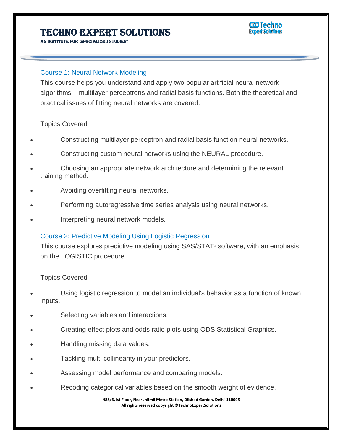#### **CD** Techno **Expert Solutions**

AN INSTITUTE FOR SPECIALIZED STUDI

#### Course 1: Neural Network Modeling

This course helps you understand and apply two popular artificial neural network algorithms – multilayer perceptrons and radial basis functions. Both the theoretical and practical issues of fitting neural networks are covered.

#### Topics Covered

- Constructing multilayer perceptron and radial basis function neural networks.
- Constructing custom neural networks using the NEURAL procedure.
- Choosing an appropriate network architecture and determining the relevant training method.
- Avoiding overfitting neural networks.
- Performing autoregressive time series analysis using neural networks.
- Interpreting neural network models.

#### Course 2: Predictive Modeling Using Logistic Regression

This course explores predictive modeling using SAS/STAT® software, with an emphasis on the LOGISTIC procedure.

#### Topics Covered

- Using logistic regression to model an individual's behavior as a function of known inputs.
- Selecting variables and interactions.
- Creating effect plots and odds ratio plots using ODS Statistical Graphics.
- Handling missing data values.
- Tackling multi collinearity in your predictors.
- Assessing model performance and comparing models.
- Recoding categorical variables based on the smooth weight of evidence.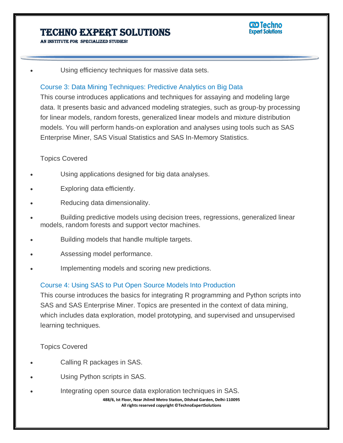AN INSTITUTE FOR SPECIALIZED STUDI

#### **CD** Techno **Expert Solutions**

Using efficiency techniques for massive data sets.

#### Course 3: Data Mining Techniques: Predictive Analytics on Big Data

This course introduces applications and techniques for assaying and modeling large data. It presents basic and advanced modeling strategies, such as group-by processing for linear models, random forests, generalized linear models and mixture distribution models. You will perform hands-on exploration and analyses using tools such as SAS Enterprise Miner, SAS Visual Statistics and SAS In-Memory Statistics.

#### Topics Covered

- Using applications designed for big data analyses.
- Exploring data efficiently.
- Reducing data dimensionality.
- Building predictive models using decision trees, regressions, generalized linear models, random forests and support vector machines.
- Building models that handle multiple targets.
- Assessing model performance.
- Implementing models and scoring new predictions.

#### Course 4: Using SAS to Put Open Source Models Into Production

This course introduces the basics for integrating R programming and Python scripts into SAS and SAS Enterprise Miner. Topics are presented in the context of data mining, which includes data exploration, model prototyping, and supervised and unsupervised learning techniques.

Topics Covered

- Calling R packages in SAS.
- Using Python scripts in SAS.
- Integrating open source data exploration techniques in SAS.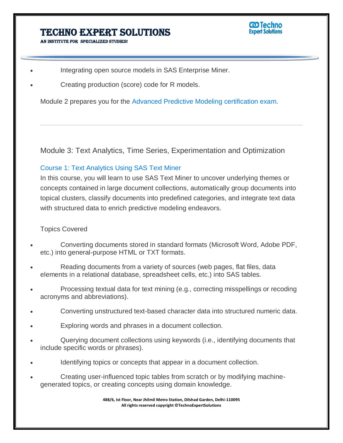AN INSTITUTE FOR SPECIALIZED STUDI

- Integrating open source models in SAS Enterprise Miner.
- Creating production (score) code for R models.

Module 2 prepares you for the Advanced Predictive Modeling certification exam.

Module 3: Text Analytics, Time Series, Experimentation and Optimization

#### Course 1: Text Analytics Using SAS Text Miner

In this course, you will learn to use SAS Text Miner to uncover underlying themes or concepts contained in large document collections, automatically group documents into topical clusters, classify documents into predefined categories, and integrate text data with structured data to enrich predictive modeling endeavors.

#### Topics Covered

- Converting documents stored in standard formats (Microsoft Word, Adobe PDF, etc.) into general-purpose HTML or TXT formats.
- Reading documents from a variety of sources (web pages, flat files, data elements in a relational database, spreadsheet cells, etc.) into SAS tables.
- Processing textual data for text mining (e.g., correcting misspellings or recoding acronyms and abbreviations).
- Converting unstructured text-based character data into structured numeric data.
- Exploring words and phrases in a document collection.
- Querying document collections using keywords (i.e., identifying documents that include specific words or phrases).
- Identifying topics or concepts that appear in a document collection.
- Creating user-influenced topic tables from scratch or by modifying machinegenerated topics, or creating concepts using domain knowledge.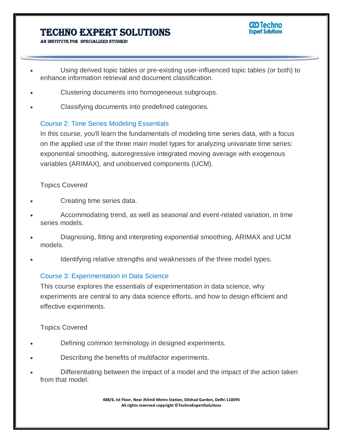

AN INSTITUTE FOR SPECIALIZED STUDIES!

- Using derived topic tables or pre-existing user-influenced topic tables (or both) to enhance information retrieval and document classification.
- Clustering documents into homogeneous subgroups.
- Classifying documents into predefined categories.

## Course 2: Time Series Modeling Essentials

In this course, you'll learn the fundamentals of modeling time series data, with a focus on the applied use of the three main model types for analyzing univariate time series: exponential smoothing, autoregressive integrated moving average with exogenous variables (ARIMAX), and unobserved components (UCM).

## Topics Covered

- Creating time series data.
- Accommodating trend, as well as seasonal and event-related variation, in time series models.
- Diagnosing, fitting and interpreting exponential smoothing, ARIMAX and UCM models.
- Identifying relative strengths and weaknesses of the three model types.

## Course 3: Experimentation in Data Science

This course explores the essentials of experimentation in data science, why experiments are central to any data science efforts, and how to design efficient and effective experiments.

## Topics Covered

- Defining common terminology in designed experiments.
- Describing the benefits of multifactor experiments.
- Differentiating between the impact of a model and the impact of the action taken from that model.